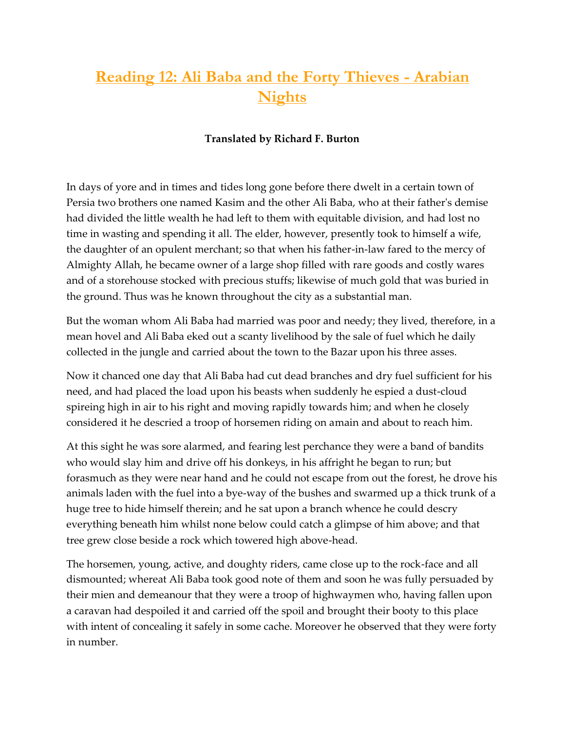## **Reading 12: Ali Baba and the Forty Thieves -Arabian Nights**

## **Translated by Richard F. Burton**

In days of yore and in times and tides long gone before there dwelt in a certain town of Persia two brothers one named Kasim and the other Ali Baba, who at their father's demise had divided the little wealth he had left to them with equitable division, and had lost no time in wasting and spending it all. The elder, however, presently took to himself a wife, the daughter of an opulent merchant; so that when his father-in-law fared to the mercy of Almighty Allah, he became owner of a large shop filled with rare goods and costly wares and of a storehouse stocked with precious stuffs; likewise of much gold that was buried in the ground. Thus was he known throughout the city as a substantial man.

But the woman whom Ali Baba had married was poor and needy; they lived, therefore, in a mean hovel and Ali Baba eked out a scanty livelihood by the sale of fuel which he daily collected in the jungle and carried about the town to the Bazar upon his three asses.

Now it chanced one day that Ali Baba had cut dead branches and dry fuel sufficient for his need, and had placed the load upon his beasts when suddenly he espied a dust-cloud spireing high in air to his right and moving rapidly towards him; and when he closely considered it he descried a troop of horsemen riding on amain and about to reach him.

At this sight he was sore alarmed, and fearing lest perchance they were a band of bandits who would slay him and drive off his donkeys, in his affright he began to run; but forasmuch as they were near hand and he could not escape from out the forest, he drove his animals laden with the fuel into a bye-way of the bushes and swarmed up a thick trunk of a huge tree to hide himself therein; and he sat upon a branch whence he could descry everything beneath him whilst none below could catch a glimpse of him above; and that tree grew close beside a rock which towered high above-head.

The horsemen, young, active, and doughty riders, came close up to the rock-face and all dismounted; whereat Ali Baba took good note of them and soon he was fully persuaded by their mien and demeanour that they were a troop of highwaymen who, having fallen upon a caravan had despoiled it and carried off the spoil and brought their booty to this place with intent of concealing it safely in some cache. Moreover he observed that they were forty in number.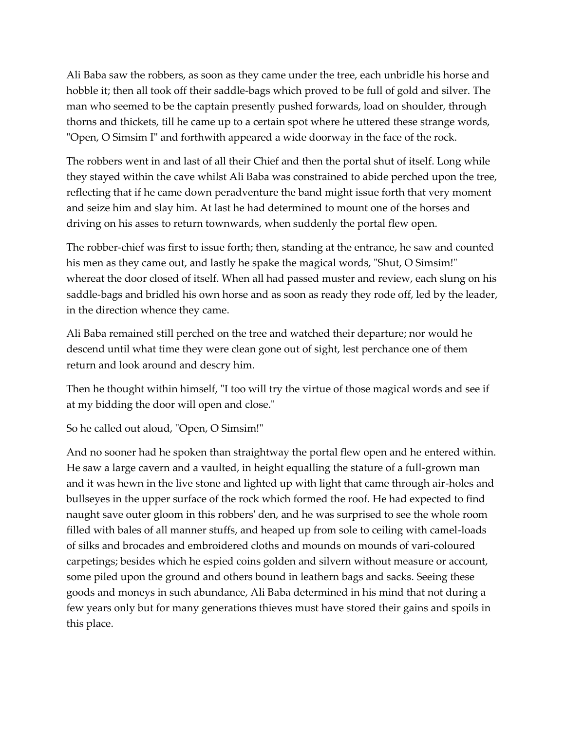Ali Baba saw the robbers, as soon as they came under the tree, each unbridle his horse and hobble it; then all took off their saddle-bags which proved to be full of gold and silver. The man who seemed to be the captain presently pushed forwards, load on shoulder, through thorns and thickets, till he came up to a certain spot where he uttered these strange words, "Open, O Simsim I" and forthwith appeared a wide doorway in the face of the rock.

The robbers went in and last of all their Chief and then the portal shut of itself. Long while they stayed within the cave whilst Ali Baba was constrained to abide perched upon the tree, reflecting that if he came down peradventure the band might issue forth that very moment and seize him and slay him. At last he had determined to mount one of the horses and driving on his asses to return townwards, when suddenly the portal flew open.

The robber-chief was first to issue forth; then, standing at the entrance, he saw and counted his men as they came out, and lastly he spake the magical words, "Shut, O Simsim!" whereat the door closed of itself. When all had passed muster and review, each slung on his saddle-bags and bridled his own horse and as soon as ready they rode off, led by the leader, in the direction whence they came.

Ali Baba remained still perched on the tree and watched their departure; nor would he descend until what time they were clean gone out of sight, lest perchance one of them return and look around and descry him.

Then he thought within himself, "I too will try the virtue of those magical words and see if at my bidding the door will open and close."

So he called out aloud, "Open, O Simsim!"

And no sooner had he spoken than straightway the portal flew open and he entered within. He saw a large cavern and a vaulted, in height equalling the stature of a full-grown man and it was hewn in the live stone and lighted up with light that came through air-holes and bullseyes in the upper surface of the rock which formed the roof. He had expected to find naught save outer gloom in this robbers' den, and he was surprised to see the whole room filled with bales of all manner stuffs, and heaped up from sole to ceiling with camel-loads of silks and brocades and embroidered cloths and mounds on mounds of vari-coloured carpetings; besides which he espied coins golden and silvern without measure or account, some piled upon the ground and others bound in leathern bags and sacks. Seeing these goods and moneys in such abundance, Ali Baba determined in his mind that not during a few years only but for many generations thieves must have stored their gains and spoils in this place.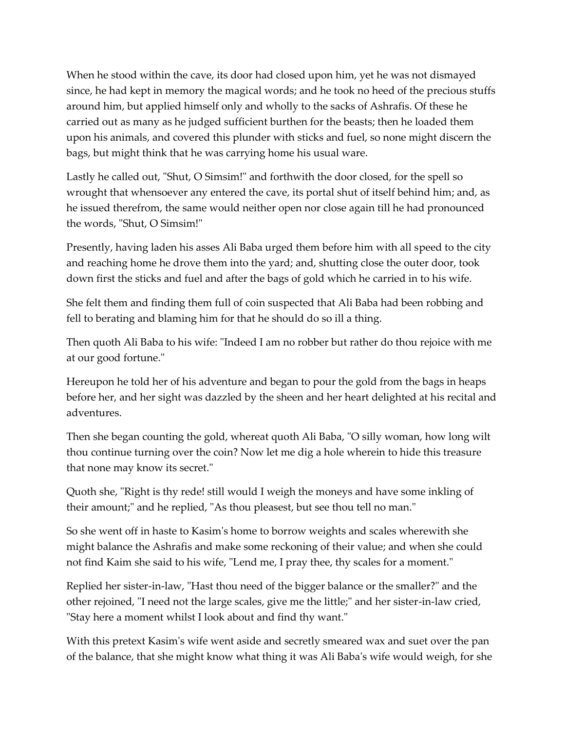When he stood within the cave, its door had closed upon him, yet he was not dismayed since, he had kept in memory the magical words; and he took no heed of the precious stuffs around him, but applied himself only and wholly to the sacks of Ashrafis. Of these he carried out as many as he judged sufficient burthen for the beasts; then he loaded them upon his animals, and covered this plunder with sticks and fuel, so none might discern the bags, but might think that he was carrying home his usual ware.

Lastly he called out, "Shut, O Simsim!" and forthwith the door closed, for the spell so wrought that whensoever any entered the cave, its portal shut of itself behind him; and, as he issued therefrom, the same would neither open nor close again till he had pronounced the words, "Shut, O Simsim!"

Presently, having laden his asses Ali Baba urged them before him with all speed to the city and reaching home he drove them into the yard; and, shutting close the outer door, took down first the sticks and fuel and after the bags of gold which he carried in to his wife.

She felt them and finding them full of coin suspected that Ali Baba had been robbing and fell to berating and blaming him for that he should do so ill a thing.

Then quoth Ali Baba to his wife: "Indeed I am no robber but rather do thou rejoice with me at our good fortune."

Hereupon he told her of his adventure and began to pour the gold from the bags in heaps before her, and her sight was dazzled by the sheen and her heart delighted at his recital and adventures.

Then she began counting the gold, whereat quoth Ali Baba, "O silly woman, how long wilt thou continue turning over the coin? Now let me dig a hole wherein to hide this treasure that none may know its secret."

Quoth she, "Right is thy rede! still would I weigh the moneys and have some inkling of their amount;" and he replied, "As thou pleasest, but see thou tell no man."

So she went off in haste to Kasim's home to borrow weights and scales wherewith she might balance the Ashrafis and make some reckoning of their value; and when she could not find Kaim she said to his wife, "Lend me, I pray thee, thy scales for a moment."

Replied her sister-in-law, "Hast thou need of the bigger balance or the smaller?" and the other rejoined, "I need not the large scales, give me the little;" and her sister-in-law cried, "Stay here a moment whilst I look about and find thy want."

With this pretext Kasim's wife went aside and secretly smeared wax and suet over the pan of the balance, that she might know what thing it was Ali Baba's wife would weigh, for she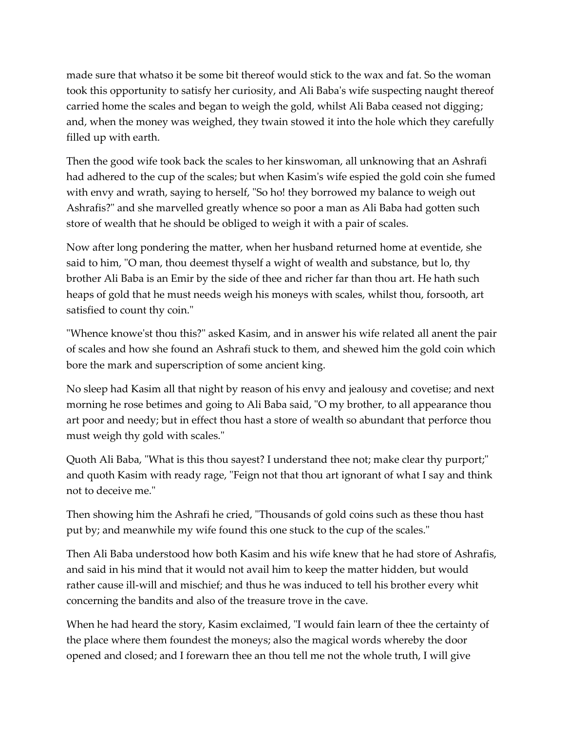made sure that whatso it be some bit thereof would stick to the wax and fat. So the woman took this opportunity to satisfy her curiosity, and Ali Baba's wife suspecting naught thereof carried home the scales and began to weigh the gold, whilst Ali Baba ceased not digging; and, when the money was weighed, they twain stowed it into the hole which they carefully filled up with earth.

Then the good wife took back the scales to her kinswoman, all unknowing that an Ashrafi had adhered to the cup of the scales; but when Kasim's wife espied the gold coin she fumed with envy and wrath, saying to herself, "So ho! they borrowed my balance to weigh out Ashrafis?" and she marvelled greatly whence so poor a man as Ali Baba had gotten such store of wealth that he should be obliged to weigh it with a pair of scales.

Now after long pondering the matter, when her husband returned home at eventide, she said to him, "O man, thou deemest thyself a wight of wealth and substance, but lo, thy brother Ali Baba is an Emir by the side of thee and richer far than thou art. He hath such heaps of gold that he must needs weigh his moneys with scales, whilst thou, forsooth, art satisfied to count thy coin."

"Whence knowe'st thou this?" asked Kasim, and in answer his wife related all anent the pair of scales and how she found an Ashrafi stuck to them, and shewed him the gold coin which bore the mark and superscription of some ancient king.

No sleep had Kasim all that night by reason of his envy and jealousy and covetise; and next morning he rose betimes and going to Ali Baba said, "O my brother, to all appearance thou art poor and needy; but in effect thou hast a store of wealth so abundant that perforce thou must weigh thy gold with scales."

Quoth Ali Baba, "What is this thou sayest? I understand thee not; make clear thy purport;" and quoth Kasim with ready rage, "Feign not that thou art ignorant of what I say and think not to deceive me."

Then showing him the Ashrafi he cried, "Thousands of gold coins such as these thou hast put by; and meanwhile my wife found this one stuck to the cup of the scales."

Then Ali Baba understood how both Kasim and his wife knew that he had store of Ashrafis, and said in his mind that it would not avail him to keep the matter hidden, but would rather cause ill-will and mischief; and thus he was induced to tell his brother every whit concerning the bandits and also of the treasure trove in the cave.

When he had heard the story, Kasim exclaimed, "I would fain learn of thee the certainty of the place where them foundest the moneys; also the magical words whereby the door opened and closed; and I forewarn thee an thou tell me not the whole truth, I will give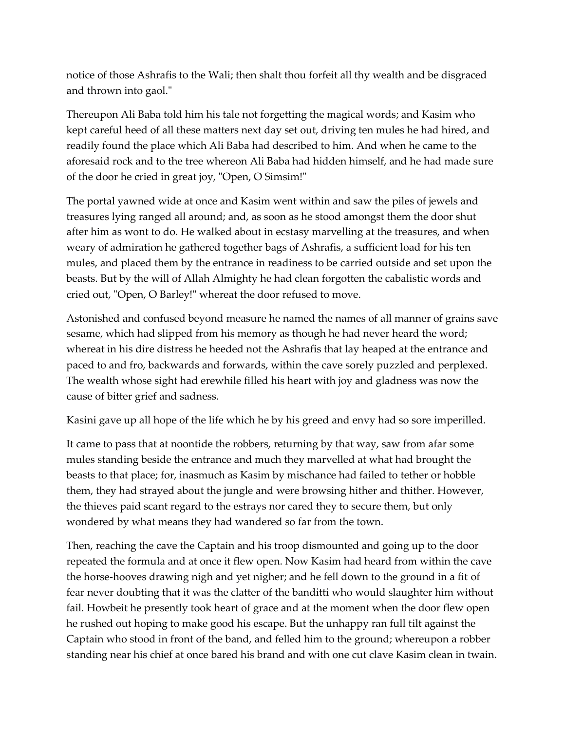notice of those Ashrafis to the Wali; then shalt thou forfeit all thy wealth and be disgraced and thrown into gaol."

Thereupon Ali Baba told him his tale not forgetting the magical words; and Kasim who kept careful heed of all these matters next day set out, driving ten mules he had hired, and readily found the place which Ali Baba had described to him. And when he came to the aforesaid rock and to the tree whereon Ali Baba had hidden himself, and he had made sure of the door he cried in great joy, "Open, O Simsim!"

The portal yawned wide at once and Kasim went within and saw the piles of jewels and treasures lying ranged all around; and, as soon as he stood amongst them the door shut after him as wont to do. He walked about in ecstasy marvelling at the treasures, and when weary of admiration he gathered together bags of Ashrafis, a sufficient load for his ten mules, and placed them by the entrance in readiness to be carried outside and set upon the beasts. But by the will of Allah Almighty he had clean forgotten the cabalistic words and cried out, "Open, O Barley!" whereat the door refused to move.

Astonished and confused beyond measure he named the names of all manner of grains save sesame, which had slipped from his memory as though he had never heard the word; whereat in his dire distress he heeded not the Ashrafis that lay heaped at the entrance and paced to and fro, backwards and forwards, within the cave sorely puzzled and perplexed. The wealth whose sight had erewhile filled his heart with joy and gladness was now the cause of bitter grief and sadness.

Kasini gave up all hope of the life which he by his greed and envy had so sore imperilled.

It came to pass that at noontide the robbers, returning by that way, saw from afar some mules standing beside the entrance and much they marvelled at what had brought the beasts to that place; for, inasmuch as Kasim by mischance had failed to tether or hobble them, they had strayed about the jungle and were browsing hither and thither. However, the thieves paid scant regard to the estrays nor cared they to secure them, but only wondered by what means they had wandered so far from the town.

Then, reaching the cave the Captain and his troop dismounted and going up to the door repeated the formula and at once it flew open. Now Kasim had heard from within the cave the horse-hooves drawing nigh and yet nigher; and he fell down to the ground in a fit of fear never doubting that it was the clatter of the banditti who would slaughter him without fail. Howbeit he presently took heart of grace and at the moment when the door flew open he rushed out hoping to make good his escape. But the unhappy ran full tilt against the Captain who stood in front of the band, and felled him to the ground; whereupon a robber standing near his chief at once bared his brand and with one cut clave Kasim clean in twain.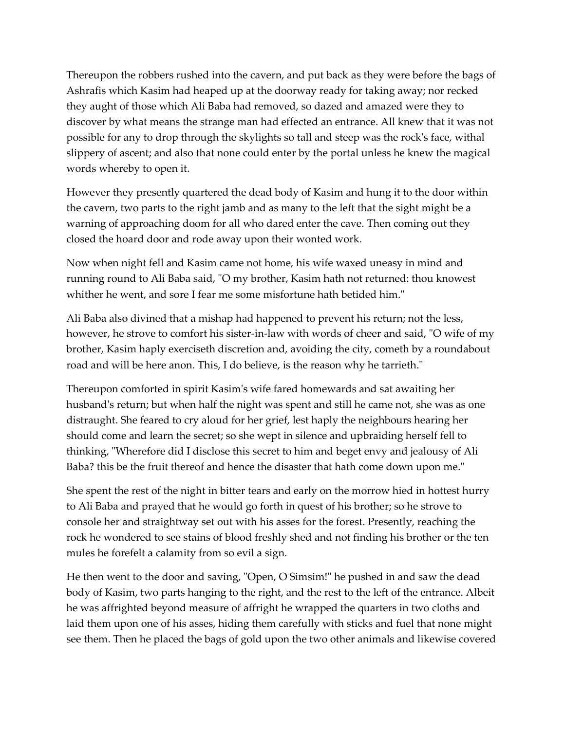Thereupon the robbers rushed into the cavern, and put back as they were before the bags of Ashrafis which Kasim had heaped up at the doorway ready for taking away; nor recked they aught of those which Ali Baba had removed, so dazed and amazed were they to discover by what means the strange man had effected an entrance. All knew that it was not possible for any to drop through the skylights so tall and steep was the rock's face, withal slippery of ascent; and also that none could enter by the portal unless he knew the magical words whereby to open it.

However they presently quartered the dead body of Kasim and hung it to the door within the cavern, two parts to the right jamb and as many to the left that the sight might be a warning of approaching doom for all who dared enter the cave. Then coming out they closed the hoard door and rode away upon their wonted work.

Now when night fell and Kasim came not home, his wife waxed uneasy in mind and running round to Ali Baba said, "O my brother, Kasim hath not returned: thou knowest whither he went, and sore I fear me some misfortune hath betided him."

Ali Baba also divined that a mishap had happened to prevent his return; not the less, however, he strove to comfort his sister-in-law with words of cheer and said, "O wife of my brother, Kasim haply exerciseth discretion and, avoiding the city, cometh by a roundabout road and will be here anon. This, I do believe, is the reason why he tarrieth."

Thereupon comforted in spirit Kasim's wife fared homewards and sat awaiting her husband's return; but when half the night was spent and still he came not, she was as one distraught. She feared to cry aloud for her grief, lest haply the neighbours hearing her should come and learn the secret; so she wept in silence and upbraiding herself fell to thinking, "Wherefore did I disclose this secret to him and beget envy and jealousy of Ali Baba? this be the fruit thereof and hence the disaster that hath come down upon me."

She spent the rest of the night in bitter tears and early on the morrow hied in hottest hurry to Ali Baba and prayed that he would go forth in quest of his brother; so he strove to console her and straightway set out with his asses for the forest. Presently, reaching the rock he wondered to see stains of blood freshly shed and not finding his brother or the ten mules he forefelt a calamity from so evil a sign.

He then went to the door and saving, "Open, O Simsim!" he pushed in and saw the dead body of Kasim, two parts hanging to the right, and the rest to the left of the entrance. Albeit he was affrighted beyond measure of affright he wrapped the quarters in two cloths and laid them upon one of his asses, hiding them carefully with sticks and fuel that none might see them. Then he placed the bags of gold upon the two other animals and likewise covered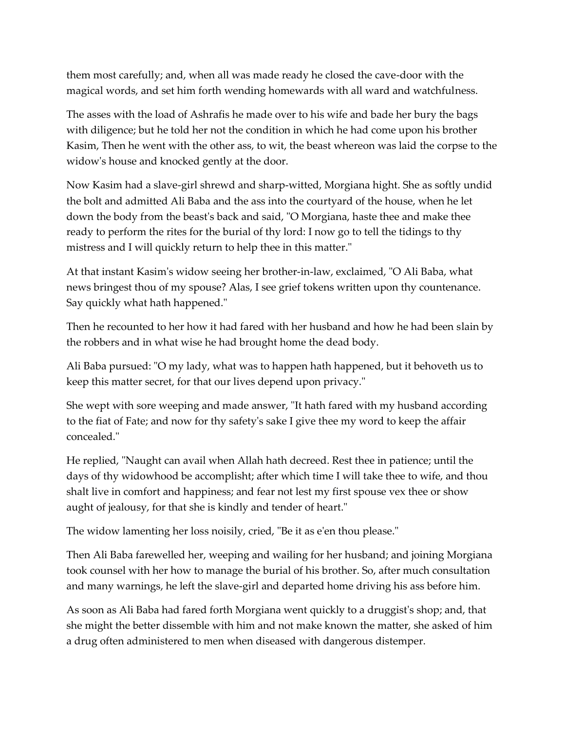them most carefully; and, when all was made ready he closed the cave-door with the magical words, and set him forth wending homewards with all ward and watchfulness.

The asses with the load of Ashrafis he made over to his wife and bade her bury the bags with diligence; but he told her not the condition in which he had come upon his brother Kasim, Then he went with the other ass, to wit, the beast whereon was laid the corpse to the widow's house and knocked gently at the door.

Now Kasim had a slave-girl shrewd and sharp-witted, Morgiana hight. She as softly undid the bolt and admitted Ali Baba and the ass into the courtyard of the house, when he let down the body from the beast's back and said, "O Morgiana, haste thee and make thee ready to perform the rites for the burial of thy lord: I now go to tell the tidings to thy mistress and I will quickly return to help thee in this matter."

At that instant Kasim's widow seeing her brother-in-law, exclaimed, "O Ali Baba, what news bringest thou of my spouse? Alas, I see grief tokens written upon thy countenance. Say quickly what hath happened."

Then he recounted to her how it had fared with her husband and how he had been slain by the robbers and in what wise he had brought home the dead body.

Ali Baba pursued: "O my lady, what was to happen hath happened, but it behoveth us to keep this matter secret, for that our lives depend upon privacy."

She wept with sore weeping and made answer, "It hath fared with my husband according to the fiat of Fate; and now for thy safety's sake I give thee my word to keep the affair concealed."

He replied, "Naught can avail when Allah hath decreed. Rest thee in patience; until the days of thy widowhood be accomplisht; after which time I will take thee to wife, and thou shalt live in comfort and happiness; and fear not lest my first spouse vex thee or show aught of jealousy, for that she is kindly and tender of heart."

The widow lamenting her loss noisily, cried, "Be it as e'en thou please."

Then Ali Baba farewelled her, weeping and wailing for her husband; and joining Morgiana took counsel with her how to manage the burial of his brother. So, after much consultation and many warnings, he left the slave-girl and departed home driving his ass before him.

As soon as Ali Baba had fared forth Morgiana went quickly to a druggist's shop; and, that she might the better dissemble with him and not make known the matter, she asked of him a drug often administered to men when diseased with dangerous distemper.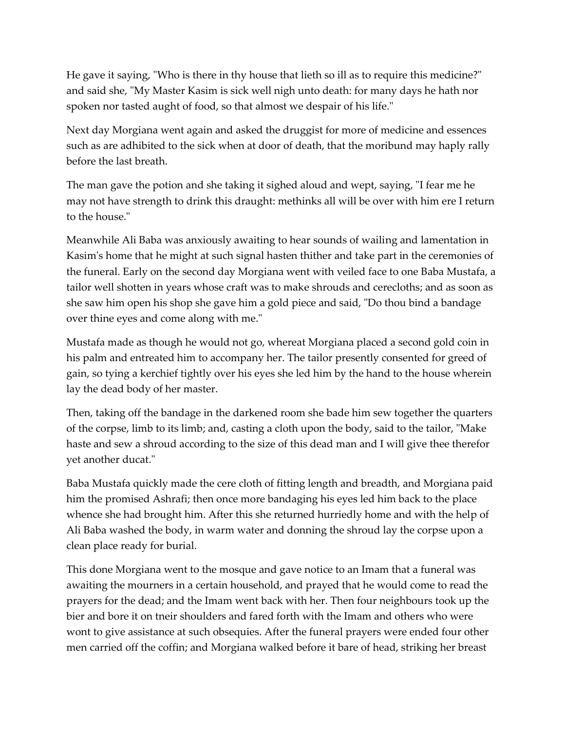He gave it saying, "Who is there in thy house that lieth so ill as to require this medicine?" and said she, "My Master Kasim is sick well nigh unto death: for many days he hath nor spoken nor tasted aught of food, so that almost we despair of his life."

Next day Morgiana went again and asked the druggist for more of medicine and essences such as are adhibited to the sick when at door of death, that the moribund may haply rally before the last breath.

The man gave the potion and she taking it sighed aloud and wept, saying, "I fear me he may not have strength to drink this draught: methinks all will be over with him ere I return to the house."

Meanwhile Ali Baba was anxiously awaiting to hear sounds of wailing and lamentation in Kasim's home that he might at such signal hasten thither and take part in the ceremonies of the funeral. Early on the second day Morgiana went with veiled face to one Baba Mustafa, a tailor well shotten in years whose craft was to make shrouds and cerecloths; and as soon as she saw him open his shop she gave him a gold piece and said, "Do thou bind a bandage over thine eyes and come along with me."

Mustafa made as though he would not go, whereat Morgiana placed a second gold coin in his palm and entreated him to accompany her. The tailor presently consented for greed of gain, so tying a kerchief tightly over his eyes she led him by the hand to the house wherein lay the dead body of her master.

Then, taking off the bandage in the darkened room she bade him sew together the quarters of the corpse, limb to its limb; and, casting a cloth upon the body, said to the tailor, "Make haste and sew a shroud according to the size of this dead man and I will give thee therefor yet another ducat."

Baba Mustafa quickly made the cere cloth of fitting length and breadth, and Morgiana paid him the promised Ashrafi; then once more bandaging his eyes led him back to the place whence she had brought him. After this she returned hurriedly home and with the help of Ali Baba washed the body, in warm water and donning the shroud lay the corpse upon a clean place ready for burial.

This done Morgiana went to the mosque and gave notice to an Imam that a funeral was awaiting the mourners in a certain household, and prayed that he would come to read the prayers for the dead; and the Imam went back with her. Then four neighbours took up the bier and bore it on tneir shoulders and fared forth with the Imam and others who were wont to give assistance at such obsequies. After the funeral prayers were ended four other men carried off the coffin; and Morgiana walked before it bare of head, striking her breast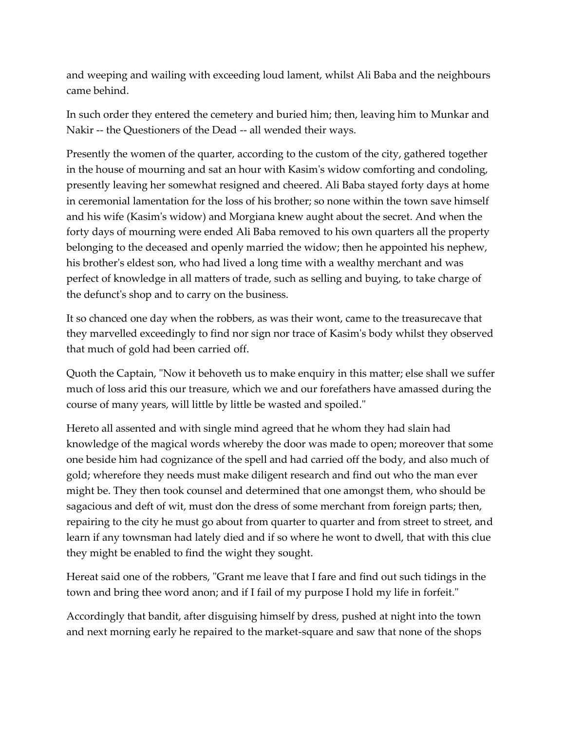and weeping and wailing with exceeding loud lament, whilst Ali Baba and the neighbours came behind.

In such order they entered the cemetery and buried him; then, leaving him to Munkar and Nakir -- the Questioners of the Dead -- all wended their ways.

Presently the women of the quarter, according to the custom of the city, gathered together in the house of mourning and sat an hour with Kasim's widow comforting and condoling, presently leaving her somewhat resigned and cheered. Ali Baba stayed forty days at home in ceremonial lamentation for the loss of his brother; so none within the town save himself and his wife (Kasim's widow) and Morgiana knew aught about the secret. And when the forty days of mourning were ended Ali Baba removed to his own quarters all the property belonging to the deceased and openly married the widow; then he appointed his nephew, his brother's eldest son, who had lived a long time with a wealthy merchant and was perfect of knowledge in all matters of trade, such as selling and buying, to take charge of the defunct's shop and to carry on the business.

It so chanced one day when the robbers, as was their wont, came to the treasurecave that they marvelled exceedingly to find nor sign nor trace of Kasim's body whilst they observed that much of gold had been carried off.

Quoth the Captain, "Now it behoveth us to make enquiry in this matter; else shall we suffer much of loss arid this our treasure, which we and our forefathers have amassed during the course of many years, will little by little be wasted and spoiled."

Hereto all assented and with single mind agreed that he whom they had slain had knowledge of the magical words whereby the door was made to open; moreover that some one beside him had cognizance of the spell and had carried off the body, and also much of gold; wherefore they needs must make diligent research and find out who the man ever might be. They then took counsel and determined that one amongst them, who should be sagacious and deft of wit, must don the dress of some merchant from foreign parts; then, repairing to the city he must go about from quarter to quarter and from street to street, and learn if any townsman had lately died and if so where he wont to dwell, that with this clue they might be enabled to find the wight they sought.

Hereat said one of the robbers, "Grant me leave that I fare and find out such tidings in the town and bring thee word anon; and if I fail of my purpose I hold my life in forfeit."

Accordingly that bandit, after disguising himself by dress, pushed at night into the town and next morning early he repaired to the market-square and saw that none of the shops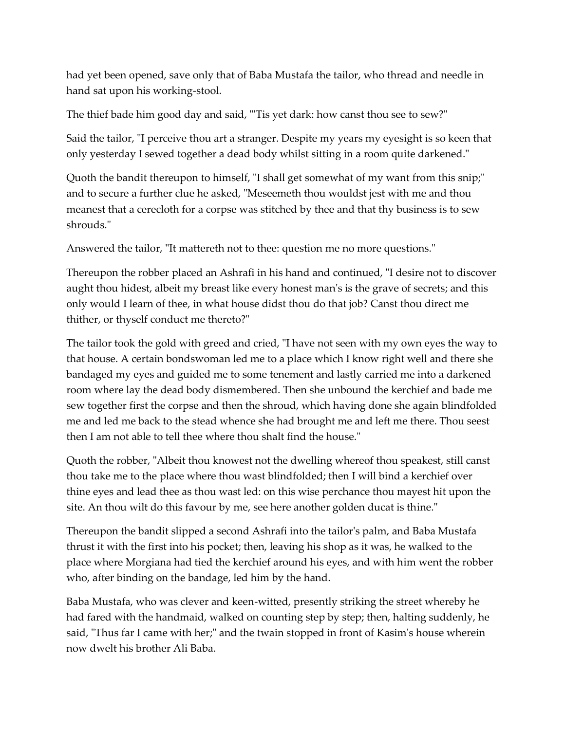had yet been opened, save only that of Baba Mustafa the tailor, who thread and needle in hand sat upon his working-stool.

The thief bade him good day and said, "'Tis yet dark: how canst thou see to sew?"

Said the tailor, "I perceive thou art a stranger. Despite my years my eyesight is so keen that only yesterday I sewed together a dead body whilst sitting in a room quite darkened."

Quoth the bandit thereupon to himself, "I shall get somewhat of my want from this snip;" and to secure a further clue he asked, "Meseemeth thou wouldst jest with me and thou meanest that a cerecloth for a corpse was stitched by thee and that thy business is to sew shrouds."

Answered the tailor, "It mattereth not to thee: question me no more questions."

Thereupon the robber placed an Ashrafi in his hand and continued, "I desire not to discover aught thou hidest, albeit my breast like every honest man's is the grave of secrets; and this only would I learn of thee, in what house didst thou do that job? Canst thou direct me thither, or thyself conduct me thereto?"

The tailor took the gold with greed and cried, "I have not seen with my own eyes the way to that house. A certain bondswoman led me to a place which I know right well and there she bandaged my eyes and guided me to some tenement and lastly carried me into a darkened room where lay the dead body dismembered. Then she unbound the kerchief and bade me sew together first the corpse and then the shroud, which having done she again blindfolded me and led me back to the stead whence she had brought me and left me there. Thou seest then I am not able to tell thee where thou shalt find the house."

Quoth the robber, "Albeit thou knowest not the dwelling whereof thou speakest, still canst thou take me to the place where thou wast blindfolded; then I will bind a kerchief over thine eyes and lead thee as thou wast led: on this wise perchance thou mayest hit upon the site. An thou wilt do this favour by me, see here another golden ducat is thine."

Thereupon the bandit slipped a second Ashrafi into the tailor's palm, and Baba Mustafa thrust it with the first into his pocket; then, leaving his shop as it was, he walked to the place where Morgiana had tied the kerchief around his eyes, and with him went the robber who, after binding on the bandage, led him by the hand.

Baba Mustafa, who was clever and keen-witted, presently striking the street whereby he had fared with the handmaid, walked on counting step by step; then, halting suddenly, he said, "Thus far I came with her;" and the twain stopped in front of Kasim's house wherein now dwelt his brother Ali Baba.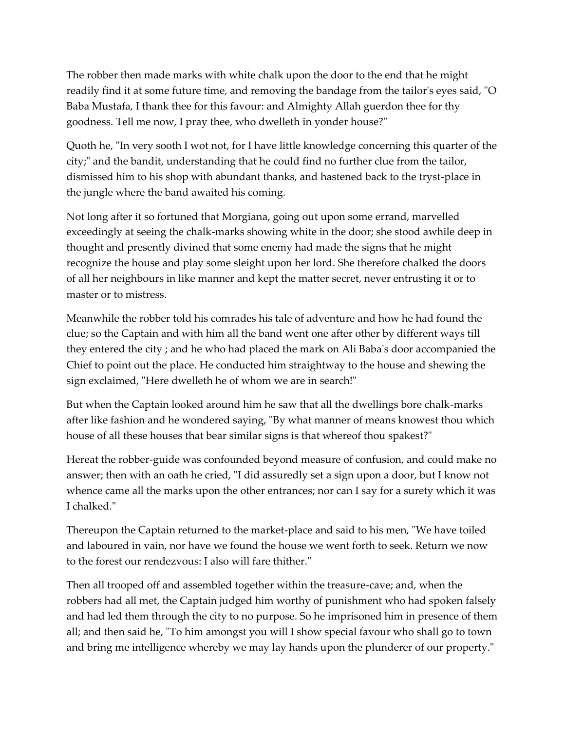The robber then made marks with white chalk upon the door to the end that he might readily find it at some future time, and removing the bandage from the tailor's eyes said, "O Baba Mustafa, I thank thee for this favour: and Almighty Allah guerdon thee for thy goodness. Tell me now, I pray thee, who dwelleth in yonder house?"

Quoth he, "In very sooth I wot not, for I have little knowledge concerning this quarter of the city;" and the bandit, understanding that he could find no further clue from the tailor, dismissed him to his shop with abundant thanks, and hastened back to the tryst-place in the jungle where the band awaited his coming.

Not long after it so fortuned that Morgiana, going out upon some errand, marvelled exceedingly at seeing the chalk-marks showing white in the door; she stood awhile deep in thought and presently divined that some enemy had made the signs that he might recognize the house and play some sleight upon her lord. She therefore chalked the doors of all her neighbours in like manner and kept the matter secret, never entrusting it or to master or to mistress.

Meanwhile the robber told his comrades his tale of adventure and how he had found the clue; so the Captain and with him all the band went one after other by different ways till they entered the city ; and he who had placed the mark on Ali Baba's door accompanied the Chief to point out the place. He conducted him straightway to the house and shewing the sign exclaimed, "Here dwelleth he of whom we are in search!"

But when the Captain looked around him he saw that all the dwellings bore chalk-marks after like fashion and he wondered saying, "By what manner of means knowest thou which house of all these houses that bear similar signs is that whereof thou spakest?"

Hereat the robber-guide was confounded beyond measure of confusion, and could make no answer; then with an oath he cried, "I did assuredly set a sign upon a door, but I know not whence came all the marks upon the other entrances; nor can I say for a surety which it was I chalked."

Thereupon the Captain returned to the market-place and said to his men, "We have toiled and laboured in vain, nor have we found the house we went forth to seek. Return we now to the forest our rendezvous: I also will fare thither."

Then all trooped off and assembled together within the treasure-cave; and, when the robbers had all met, the Captain judged him worthy of punishment who had spoken falsely and had led them through the city to no purpose. So he imprisoned him in presence of them all; and then said he, "To him amongst you will I show special favour who shall go to town and bring me intelligence whereby we may lay hands upon the plunderer of our property."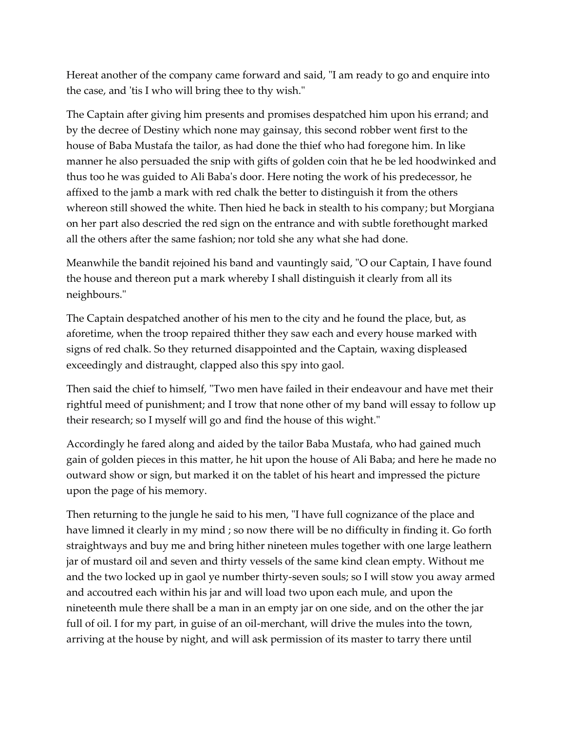Hereat another of the company came forward and said, "I am ready to go and enquire into the case, and 'tis I who will bring thee to thy wish."

The Captain after giving him presents and promises despatched him upon his errand; and by the decree of Destiny which none may gainsay, this second robber went first to the house of Baba Mustafa the tailor, as had done the thief who had foregone him. In like manner he also persuaded the snip with gifts of golden coin that he be led hoodwinked and thus too he was guided to Ali Baba's door. Here noting the work of his predecessor, he affixed to the jamb a mark with red chalk the better to distinguish it from the others whereon still showed the white. Then hied he back in stealth to his company; but Morgiana on her part also descried the red sign on the entrance and with subtle forethought marked all the others after the same fashion; nor told she any what she had done.

Meanwhile the bandit rejoined his band and vauntingly said, "O our Captain, I have found the house and thereon put a mark whereby I shall distinguish it clearly from all its neighbours."

The Captain despatched another of his men to the city and he found the place, but, as aforetime, when the troop repaired thither they saw each and every house marked with signs of red chalk. So they returned disappointed and the Captain, waxing displeased exceedingly and distraught, clapped also this spy into gaol.

Then said the chief to himself, "Two men have failed in their endeavour and have met their rightful meed of punishment; and I trow that none other of my band will essay to follow up their research; so I myself will go and find the house of this wight."

Accordingly he fared along and aided by the tailor Baba Mustafa, who had gained much gain of golden pieces in this matter, he hit upon the house of Ali Baba; and here he made no outward show or sign, but marked it on the tablet of his heart and impressed the picture upon the page of his memory.

Then returning to the jungle he said to his men, "I have full cognizance of the place and have limned it clearly in my mind ; so now there will be no difficulty in finding it. Go forth straightways and buy me and bring hither nineteen mules together with one large leathern jar of mustard oil and seven and thirty vessels of the same kind clean empty. Without me and the two locked up in gaol ye number thirty-seven souls; so I will stow you away armed and accoutred each within his jar and will load two upon each mule, and upon the nineteenth mule there shall be a man in an empty jar on one side, and on the other the jar full of oil. I for my part, in guise of an oil-merchant, will drive the mules into the town, arriving at the house by night, and will ask permission of its master to tarry there until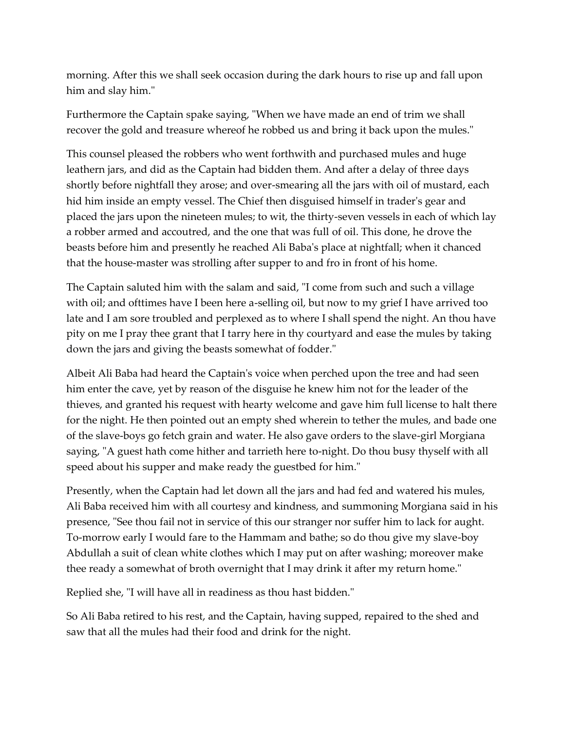morning. After this we shall seek occasion during the dark hours to rise up and fall upon him and slay him."

Furthermore the Captain spake saying, "When we have made an end of trim we shall recover the gold and treasure whereof he robbed us and bring it back upon the mules."

This counsel pleased the robbers who went forthwith and purchased mules and huge leathern jars, and did as the Captain had bidden them. And after a delay of three days shortly before nightfall they arose; and over-smearing all the jars with oil of mustard, each hid him inside an empty vessel. The Chief then disguised himself in trader's gear and placed the jars upon the nineteen mules; to wit, the thirty-seven vessels in each of which lay a robber armed and accoutred, and the one that was full of oil. This done, he drove the beasts before him and presently he reached Ali Baba's place at nightfall; when it chanced that the house-master was strolling after supper to and fro in front of his home.

The Captain saluted him with the salam and said, "I come from such and such a village with oil; and ofttimes have I been here a-selling oil, but now to my grief I have arrived too late and I am sore troubled and perplexed as to where I shall spend the night. An thou have pity on me I pray thee grant that I tarry here in thy courtyard and ease the mules by taking down the jars and giving the beasts somewhat of fodder."

Albeit Ali Baba had heard the Captain's voice when perched upon the tree and had seen him enter the cave, yet by reason of the disguise he knew him not for the leader of the thieves, and granted his request with hearty welcome and gave him full license to halt there for the night. He then pointed out an empty shed wherein to tether the mules, and bade one of the slave-boys go fetch grain and water. He also gave orders to the slave-girl Morgiana saying, "A guest hath come hither and tarrieth here to-night. Do thou busy thyself with all speed about his supper and make ready the guestbed for him."

Presently, when the Captain had let down all the jars and had fed and watered his mules, Ali Baba received him with all courtesy and kindness, and summoning Morgiana said in his presence, "See thou fail not in service of this our stranger nor suffer him to lack for aught. To-morrow early I would fare to the Hammam and bathe; so do thou give my slave-boy Abdullah a suit of clean white clothes which I may put on after washing; moreover make thee ready a somewhat of broth overnight that I may drink it after my return home."

Replied she, "I will have all in readiness as thou hast bidden."

So Ali Baba retired to his rest, and the Captain, having supped, repaired to the shed and saw that all the mules had their food and drink for the night.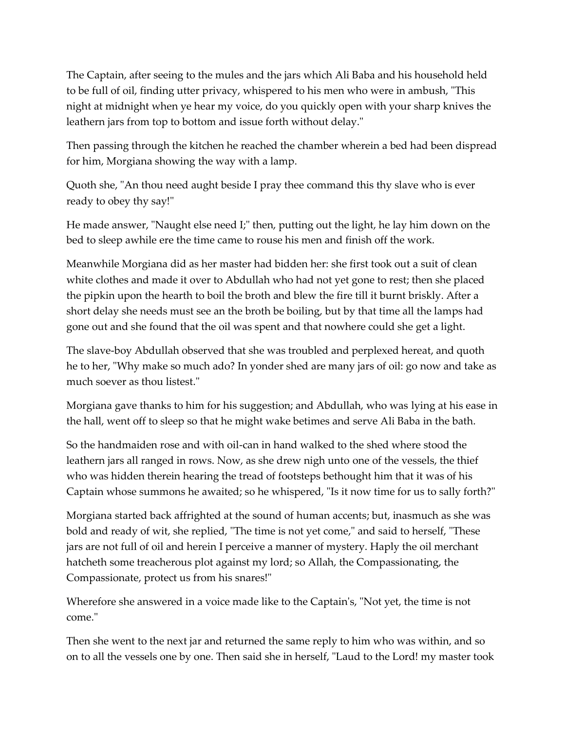The Captain, after seeing to the mules and the jars which Ali Baba and his household held to be full of oil, finding utter privacy, whispered to his men who were in ambush, "This night at midnight when ye hear my voice, do you quickly open with your sharp knives the leathern jars from top to bottom and issue forth without delay."

Then passing through the kitchen he reached the chamber wherein a bed had been dispread for him, Morgiana showing the way with a lamp.

Quoth she, "An thou need aught beside I pray thee command this thy slave who is ever ready to obey thy say!"

He made answer, "Naught else need I;" then, putting out the light, he lay him down on the bed to sleep awhile ere the time came to rouse his men and finish off the work.

Meanwhile Morgiana did as her master had bidden her: she first took out a suit of clean white clothes and made it over to Abdullah who had not yet gone to rest; then she placed the pipkin upon the hearth to boil the broth and blew the fire till it burnt briskly. After a short delay she needs must see an the broth be boiling, but by that time all the lamps had gone out and she found that the oil was spent and that nowhere could she get a light.

The slave-boy Abdullah observed that she was troubled and perplexed hereat, and quoth he to her, "Why make so much ado? In yonder shed are many jars of oil: go now and take as much soever as thou listest."

Morgiana gave thanks to him for his suggestion; and Abdullah, who was lying at his ease in the hall, went off to sleep so that he might wake betimes and serve Ali Baba in the bath.

So the handmaiden rose and with oil-can in hand walked to the shed where stood the leathern jars all ranged in rows. Now, as she drew nigh unto one of the vessels, the thief who was hidden therein hearing the tread of footsteps bethought him that it was of his Captain whose summons he awaited; so he whispered, "Is it now time for us to sally forth?"

Morgiana started back affrighted at the sound of human accents; but, inasmuch as she was bold and ready of wit, she replied, "The time is not yet come," and said to herself, "These jars are not full of oil and herein I perceive a manner of mystery. Haply the oil merchant hatcheth some treacherous plot against my lord; so Allah, the Compassionating, the Compassionate, protect us from his snares!"

Wherefore she answered in a voice made like to the Captain's, "Not yet, the time is not come."

Then she went to the next jar and returned the same reply to him who was within, and so on to all the vessels one by one. Then said she in herself, "Laud to the Lord! my master took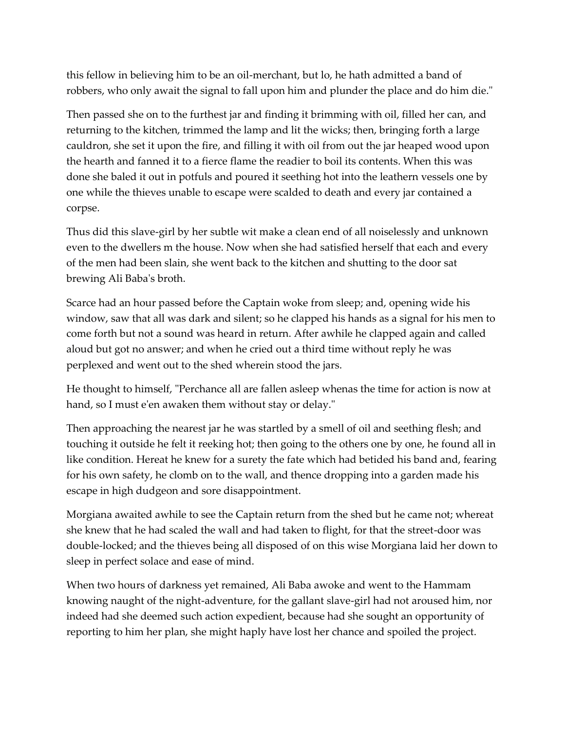this fellow in believing him to be an oil-merchant, but lo, he hath admitted a band of robbers, who only await the signal to fall upon him and plunder the place and do him die."

Then passed she on to the furthest jar and finding it brimming with oil, filled her can, and returning to the kitchen, trimmed the lamp and lit the wicks; then, bringing forth a large cauldron, she set it upon the fire, and filling it with oil from out the jar heaped wood upon the hearth and fanned it to a fierce flame the readier to boil its contents. When this was done she baled it out in potfuls and poured it seething hot into the leathern vessels one by one while the thieves unable to escape were scalded to death and every jar contained a corpse.

Thus did this slave-girl by her subtle wit make a clean end of all noiselessly and unknown even to the dwellers m the house. Now when she had satisfied herself that each and every of the men had been slain, she went back to the kitchen and shutting to the door sat brewing Ali Baba's broth.

Scarce had an hour passed before the Captain woke from sleep; and, opening wide his window, saw that all was dark and silent; so he clapped his hands as a signal for his men to come forth but not a sound was heard in return. After awhile he clapped again and called aloud but got no answer; and when he cried out a third time without reply he was perplexed and went out to the shed wherein stood the jars.

He thought to himself, "Perchance all are fallen asleep whenas the time for action is now at hand, so I must e'en awaken them without stay or delay."

Then approaching the nearest jar he was startled by a smell of oil and seething flesh; and touching it outside he felt it reeking hot; then going to the others one by one, he found all in like condition. Hereat he knew for a surety the fate which had betided his band and, fearing for his own safety, he clomb on to the wall, and thence dropping into a garden made his escape in high dudgeon and sore disappointment.

Morgiana awaited awhile to see the Captain return from the shed but he came not; whereat she knew that he had scaled the wall and had taken to flight, for that the street-door was double-locked; and the thieves being all disposed of on this wise Morgiana laid her down to sleep in perfect solace and ease of mind.

When two hours of darkness yet remained, Ali Baba awoke and went to the Hammam knowing naught of the night-adventure, for the gallant slave-girl had not aroused him, nor indeed had she deemed such action expedient, because had she sought an opportunity of reporting to him her plan, she might haply have lost her chance and spoiled the project.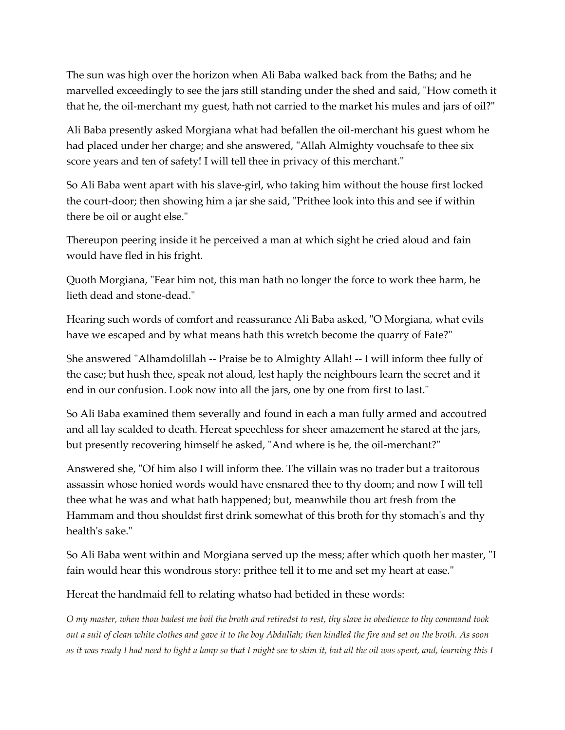The sun was high over the horizon when Ali Baba walked back from the Baths; and he marvelled exceedingly to see the jars still standing under the shed and said, "How cometh it that he, the oil-merchant my guest, hath not carried to the market his mules and jars of oil?"

Ali Baba presently asked Morgiana what had befallen the oil-merchant his guest whom he had placed under her charge; and she answered, "Allah Almighty vouchsafe to thee six score years and ten of safety! I will tell thee in privacy of this merchant."

So Ali Baba went apart with his slave-girl, who taking him without the house first locked the court-door; then showing him a jar she said, "Prithee look into this and see if within there be oil or aught else."

Thereupon peering inside it he perceived a man at which sight he cried aloud and fain would have fled in his fright.

Quoth Morgiana, "Fear him not, this man hath no longer the force to work thee harm, he lieth dead and stone-dead."

Hearing such words of comfort and reassurance Ali Baba asked, "O Morgiana, what evils have we escaped and by what means hath this wretch become the quarry of Fate?"

She answered "Alhamdolillah -- Praise be to Almighty Allah! -- I will inform thee fully of the case; but hush thee, speak not aloud, lest haply the neighbours learn the secret and it end in our confusion. Look now into all the jars, one by one from first to last."

So Ali Baba examined them severally and found in each a man fully armed and accoutred and all lay scalded to death. Hereat speechless for sheer amazement he stared at the jars, but presently recovering himself he asked, "And where is he, the oil-merchant?"

Answered she, "Of him also I will inform thee. The villain was no trader but a traitorous assassin whose honied words would have ensnared thee to thy doom; and now I will tell thee what he was and what hath happened; but, meanwhile thou art fresh from the Hammam and thou shouldst first drink somewhat of this broth for thy stomach's and thy health's sake."

So Ali Baba went within and Morgiana served up the mess; after which quoth her master, "I fain would hear this wondrous story: prithee tell it to me and set my heart at ease."

Hereat the handmaid fell to relating whatso had betided in these words:

*O my master, when thou badest me boil the broth and retiredst to rest, thy slave in obedience to thy command took out a suit of clean white clothes and gave it to the boy Abdullah; then kindled the fire and set on the broth. As soon as it was ready I had need to light a lamp so that I might see to skim it, but all the oil was spent, and, learning this I*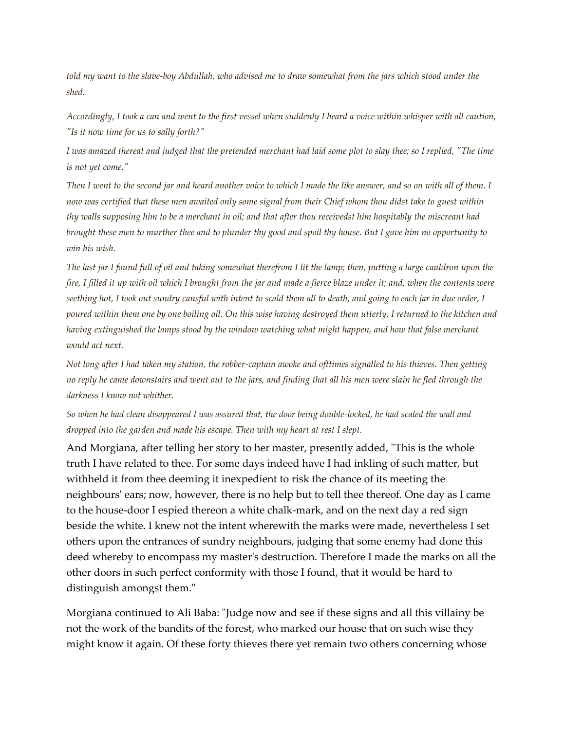*told my want to the slave-boy Abdullah, who advised me to draw somewhat from the jars which stood under the shed.*

*Accordingly, I took a can and went to the first vessel when suddenly I heard a voice within whisper with all caution, "Is it now time for us to sally forth?"*

*I was amazed thereat and judged that the pretended merchant had laid some plot to slay thee; so I replied, "The time is not yet come."*

*Then I went to the second jar and heard another voice to which I made the like answer, and so on with all of them. I now was certified that these men awaited only some signal from their Chief whom thou didst take to guest within thy walls supposing him to be a merchant in oil; and that after thou receivedst him hospitably the miscreant had brought these men to murther thee and to plunder thy good and spoil thy house. But I gave him no opportunity to win his wish.*

*The last jar I found full of oil and taking somewhat therefrom I lit the lamp; then, putting a large cauldron upon the fire, I filled it up with oil which I brought from the jar and made a fierce blaze under it; and, when the contents were seething hot, I took out sundry cansful with intent to scald them all to death, and going to each jar in due order, I poured within them one by one boiling oil. On this wise having destroyed them utterly, I returned to the kitchen and having extinguished the lamps stood by the window watching what might happen, and how that false merchant would act next.*

*Not long after I had taken my station, the robber-captain awoke and ofttimes signalled to his thieves. Then getting no reply he came downstairs and went out to the jars, and finding that all his men were slain he fled through the darkness I know not whither.*

*So when he had clean disappeared I was assured that, the door being double-locked, he had scaled the wall and dropped into the garden and made his escape. Then with my heart at rest I slept.*

And Morgiana, after telling her story to her master, presently added, "This is the whole truth I have related to thee. For some days indeed have I had inkling of such matter, but withheld it from thee deeming it inexpedient to risk the chance of its meeting the neighbours' ears; now, however, there is no help but to tell thee thereof. One day as I came to the house-door I espied thereon a white chalk-mark, and on the next day a red sign beside the white. I knew not the intent wherewith the marks were made, nevertheless I set others upon the entrances of sundry neighbours, judging that some enemy had done this deed whereby to encompass my master's destruction. Therefore I made the marks on all the other doors in such perfect conformity with those I found, that it would be hard to distinguish amongst them."

Morgiana continued to Ali Baba: "Judge now and see if these signs and all this villainy be not the work of the bandits of the forest, who marked our house that on such wise they might know it again. Of these forty thieves there yet remain two others concerning whose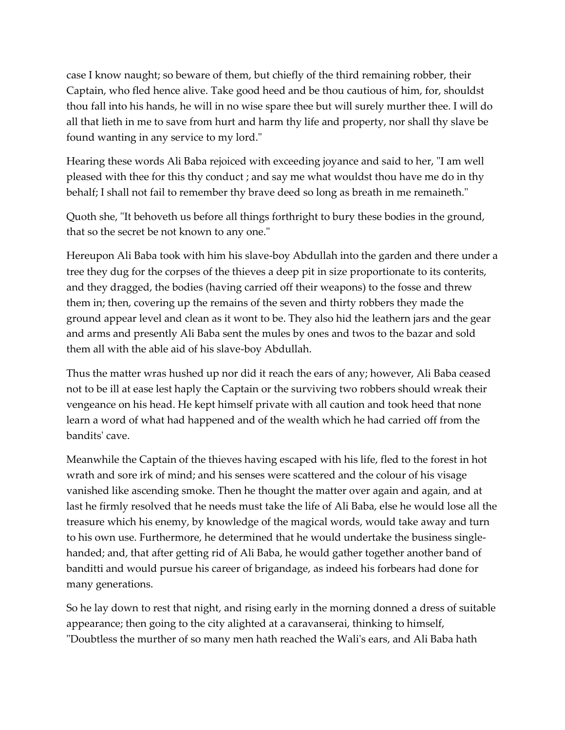case I know naught; so beware of them, but chiefly of the third remaining robber, their Captain, who fled hence alive. Take good heed and be thou cautious of him, for, shouldst thou fall into his hands, he will in no wise spare thee but will surely murther thee. I will do all that lieth in me to save from hurt and harm thy life and property, nor shall thy slave be found wanting in any service to my lord."

Hearing these words Ali Baba rejoiced with exceeding joyance and said to her, "I am well pleased with thee for this thy conduct ; and say me what wouldst thou have me do in thy behalf; I shall not fail to remember thy brave deed so long as breath in me remaineth."

Quoth she, "It behoveth us before all things forthright to bury these bodies in the ground, that so the secret be not known to any one."

Hereupon Ali Baba took with him his slave-boy Abdullah into the garden and there under a tree they dug for the corpses of the thieves a deep pit in size proportionate to its conterits, and they dragged, the bodies (having carried off their weapons) to the fosse and threw them in; then, covering up the remains of the seven and thirty robbers they made the ground appear level and clean as it wont to be. They also hid the leathern jars and the gear and arms and presently Ali Baba sent the mules by ones and twos to the bazar and sold them all with the able aid of his slave-boy Abdullah.

Thus the matter wras hushed up nor did it reach the ears of any; however, Ali Baba ceased not to be ill at ease lest haply the Captain or the surviving two robbers should wreak their vengeance on his head. He kept himself private with all caution and took heed that none learn a word of what had happened and of the wealth which he had carried off from the bandits' cave.

Meanwhile the Captain of the thieves having escaped with his life, fled to the forest in hot wrath and sore irk of mind; and his senses were scattered and the colour of his visage vanished like ascending smoke. Then he thought the matter over again and again, and at last he firmly resolved that he needs must take the life of Ali Baba, else he would lose all the treasure which his enemy, by knowledge of the magical words, would take away and turn to his own use. Furthermore, he determined that he would undertake the business single handed; and, that after getting rid of Ali Baba, he would gather together another band of banditti and would pursue his career of brigandage, as indeed his forbears had done for many generations.

So he lay down to rest that night, and rising early in the morning donned a dress of suitable appearance; then going to the city alighted at a caravanserai, thinking to himself, "Doubtless the murther of so many men hath reached the Wali's ears, and Ali Baba hath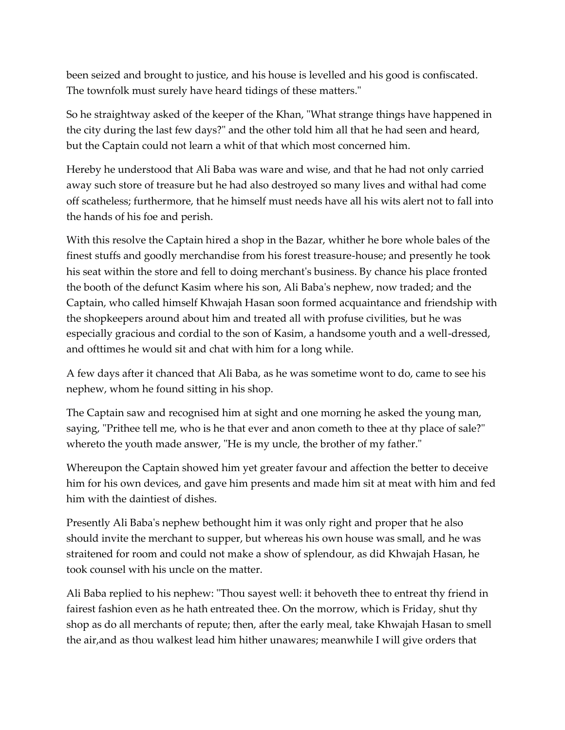been seized and brought to justice, and his house is levelled and his good is confiscated. The townfolk must surely have heard tidings of these matters."

So he straightway asked of the keeper of the Khan, "What strange things have happened in the city during the last few days?" and the other told him all that he had seen and heard, but the Captain could not learn a whit of that which most concerned him.

Hereby he understood that Ali Baba was ware and wise, and that he had not only carried away such store of treasure but he had also destroyed so many lives and withal had come off scatheless; furthermore, that he himself must needs have all his wits alert not to fall into the hands of his foe and perish.

With this resolve the Captain hired a shop in the Bazar, whither he bore whole bales of the finest stuffs and goodly merchandise from his forest treasure-house; and presently he took his seat within the store and fell to doing merchant's business. By chance his place fronted the booth of the defunct Kasim where his son, Ali Baba's nephew, now traded; and the Captain, who called himself Khwajah Hasan soon formed acquaintance and friendship with the shopkeepers around about him and treated all with profuse civilities, but he was especially gracious and cordial to the son of Kasim, a handsome youth and a well-dressed, and ofttimes he would sit and chat with him for a long while.

A few days after it chanced that Ali Baba, as he was sometime wont to do, came to see his nephew, whom he found sitting in his shop.

The Captain saw and recognised him at sight and one morning he asked the young man, saying, "Prithee tell me, who is he that ever and anon cometh to thee at thy place of sale?" whereto the youth made answer, "He is my uncle, the brother of my father."

Whereupon the Captain showed him yet greater favour and affection the better to deceive him for his own devices, and gave him presents and made him sit at meat with him and fed him with the daintiest of dishes.

Presently Ali Baba's nephew bethought him it was only right and proper that he also should invite the merchant to supper, but whereas his own house was small, and he was straitened for room and could not make a show of splendour, as did Khwajah Hasan, he took counsel with his uncle on the matter.

Ali Baba replied to his nephew: "Thou sayest well: it behoveth thee to entreat thy friend in fairest fashion even as he hath entreated thee. On the morrow, which is Friday, shut thy shop as do all merchants of repute; then, after the early meal, take Khwajah Hasan to smell the air,and as thou walkest lead him hither unawares; meanwhile I will give orders that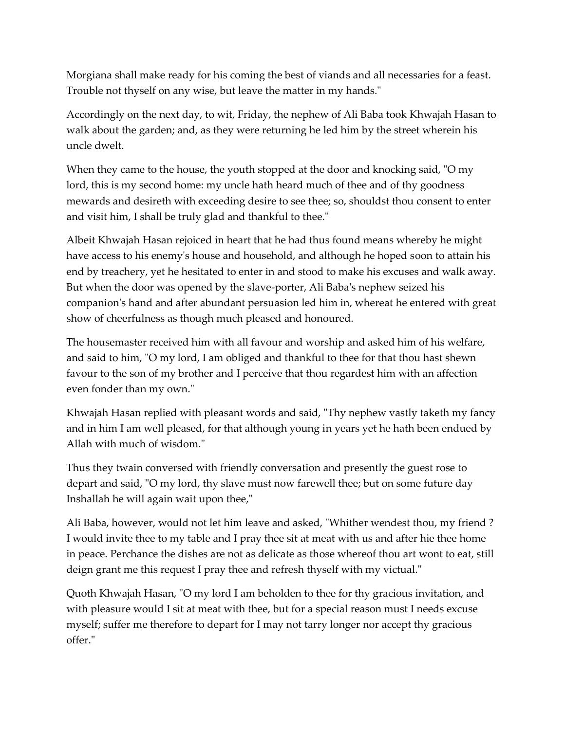Morgiana shall make ready for his coming the best of viands and all necessaries for a feast. Trouble not thyself on any wise, but leave the matter in my hands."

Accordingly on the next day, to wit, Friday, the nephew of Ali Baba took Khwajah Hasan to walk about the garden; and, as they were returning he led him by the street wherein his uncle dwelt.

When they came to the house, the youth stopped at the door and knocking said, "O my lord, this is my second home: my uncle hath heard much of thee and of thy goodness mewards and desireth with exceeding desire to see thee; so, shouldst thou consent to enter and visit him, I shall be truly glad and thankful to thee."

Albeit Khwajah Hasan rejoiced in heart that he had thus found means whereby he might have access to his enemy's house and household, and although he hoped soon to attain his end by treachery, yet he hesitated to enter in and stood to make his excuses and walk away. But when the door was opened by the slave-porter, Ali Baba's nephew seized his companion's hand and after abundant persuasion led him in, whereat he entered with great show of cheerfulness as though much pleased and honoured.

The housemaster received him with all favour and worship and asked him of his welfare, and said to him, "O my lord, I am obliged and thankful to thee for that thou hast shewn favour to the son of my brother and I perceive that thou regardest him with an affection even fonder than my own."

Khwajah Hasan replied with pleasant words and said, "Thy nephew vastly taketh my fancy and in him I am well pleased, for that although young in years yet he hath been endued by Allah with much of wisdom."

Thus they twain conversed with friendly conversation and presently the guest rose to depart and said, "O my lord, thy slave must now farewell thee; but on some future day Inshallah he will again wait upon thee,"

Ali Baba, however, would not let him leave and asked, "Whither wendest thou, my friend ? I would invite thee to my table and I pray thee sit at meat with us and after hie thee home in peace. Perchance the dishes are not as delicate as those whereof thou art wont to eat, still deign grant me this request I pray thee and refresh thyself with my victual."

Quoth Khwajah Hasan, "O my lord I am beholden to thee for thy gracious invitation, and with pleasure would I sit at meat with thee, but for a special reason must I needs excuse myself; suffer me therefore to depart for I may not tarry longer nor accept thy gracious offer."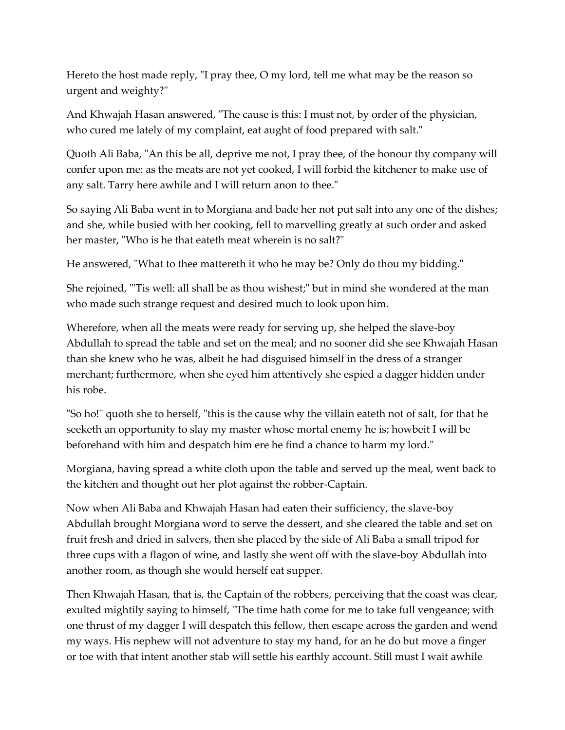Hereto the host made reply, "I pray thee, O my lord, tell me what may be the reason so urgent and weighty?"

And Khwajah Hasan answered, "The cause is this: I must not, by order of the physician, who cured me lately of my complaint, eat aught of food prepared with salt."

Quoth Ali Baba, "An this be all, deprive me not, I pray thee, of the honour thy company will confer upon me: as the meats are not yet cooked, I will forbid the kitchener to make use of any salt. Tarry here awhile and I will return anon to thee."

So saying Ali Baba went in to Morgiana and bade her not put salt into any one of the dishes; and she, while busied with her cooking, fell to marvelling greatly at such order and asked her master, "Who is he that eateth meat wherein is no salt?"

He answered, "What to thee mattereth it who he may be? Only do thou my bidding."

She rejoined, "'Tis well: all shall be as thou wishest;" but in mind she wondered at the man who made such strange request and desired much to look upon him.

Wherefore, when all the meats were ready for serving up, she helped the slave-boy Abdullah to spread the table and set on the meal; and no sooner did she see Khwajah Hasan than she knew who he was, albeit he had disguised himself in the dress of a stranger merchant; furthermore, when she eyed him attentively she espied a dagger hidden under his robe.

"So ho!" quoth she to herself, "this is the cause why the villain eateth not of salt, for that he seeketh an opportunity to slay my master whose mortal enemy he is; howbeit I will be beforehand with him and despatch him ere he find a chance to harm my lord."

Morgiana, having spread a white cloth upon the table and served up the meal, went back to the kitchen and thought out her plot against the robber-Captain.

Now when Ali Baba and Khwajah Hasan had eaten their sufficiency, the slave-boy Abdullah brought Morgiana word to serve the dessert, and she cleared the table and set on fruit fresh and dried in salvers, then she placed by the side of Ali Baba a small tripod for three cups with a flagon of wine, and lastly she went off with the slave-boy Abdullah into another room, as though she would herself eat supper.

Then Khwajah Hasan, that is, the Captain of the robbers, perceiving that the coast was clear, exulted mightily saying to himself, "The time hath come for me to take full vengeance; with one thrust of my dagger I will despatch this fellow, then escape across the garden and wend my ways. His nephew will not adventure to stay my hand, for an he do but move a finger or toe with that intent another stab will settle his earthly account. Still must I wait awhile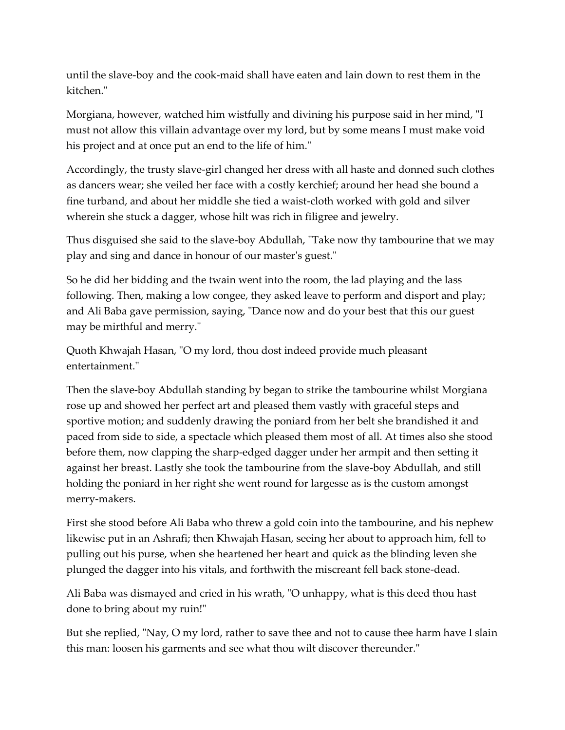until the slave-boy and the cook-maid shall have eaten and lain down to rest them in the kitchen."

Morgiana, however, watched him wistfully and divining his purpose said in her mind, "I must not allow this villain advantage over my lord, but by some means I must make void his project and at once put an end to the life of him."

Accordingly, the trusty slave-girl changed her dress with all haste and donned such clothes as dancers wear; she veiled her face with a costly kerchief; around her head she bound a fine turband, and about her middle she tied a waist-cloth worked with gold and silver wherein she stuck a dagger, whose hilt was rich in filigree and jewelry.

Thus disguised she said to the slave-boy Abdullah, "Take now thy tambourine that we may play and sing and dance in honour of our master's guest."

So he did her bidding and the twain went into the room, the lad playing and the lass following. Then, making a low congee, they asked leave to perform and disport and play; and Ali Baba gave permission, saying, "Dance now and do your best that this our guest may be mirthful and merry."

Quoth Khwajah Hasan, "O my lord, thou dost indeed provide much pleasant entertainment."

Then the slave-boy Abdullah standing by began to strike the tambourine whilst Morgiana rose up and showed her perfect art and pleased them vastly with graceful steps and sportive motion; and suddenly drawing the poniard from her belt she brandished it and paced from side to side, a spectacle which pleased them most of all. At times also she stood before them, now clapping the sharp-edged dagger under her armpit and then setting it against her breast. Lastly she took the tambourine from the slave-boy Abdullah, and still holding the poniard in her right she went round for largesse as is the custom amongst merry-makers.

First she stood before Ali Baba who threw a gold coin into the tambourine, and his nephew likewise put in an Ashrafi; then Khwajah Hasan, seeing her about to approach him, fell to pulling out his purse, when she heartened her heart and quick as the blinding leven she plunged the dagger into his vitals, and forthwith the miscreant fell back stone-dead.

Ali Baba was dismayed and cried in his wrath, "O unhappy, what is this deed thou hast done to bring about my ruin!"

But she replied, "Nay, O my lord, rather to save thee and not to cause thee harm have I slain this man: loosen his garments and see what thou wilt discover thereunder."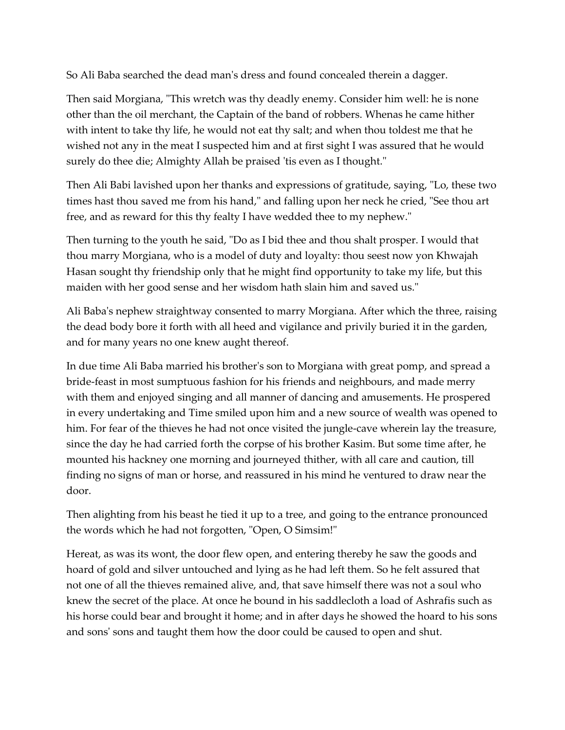So Ali Baba searched the dead man's dress and found concealed therein a dagger.

Then said Morgiana, "This wretch was thy deadly enemy. Consider him well: he is none other than the oil merchant, the Captain of the band of robbers. Whenas he came hither with intent to take thy life, he would not eat thy salt; and when thou toldest me that he wished not any in the meat I suspected him and at first sight I was assured that he would surely do thee die; Almighty Allah be praised 'tis even as I thought."

Then Ali Babi lavished upon her thanks and expressions of gratitude, saying, "Lo, these two times hast thou saved me from his hand," and falling upon her neck he cried, "See thou art free, and as reward for this thy fealty I have wedded thee to my nephew."

Then turning to the youth he said, "Do as I bid thee and thou shalt prosper. I would that thou marry Morgiana, who is a model of duty and loyalty: thou seest now yon Khwajah Hasan sought thy friendship only that he might find opportunity to take my life, but this maiden with her good sense and her wisdom hath slain him and saved us."

Ali Baba's nephew straightway consented to marry Morgiana. After which the three, raising the dead body bore it forth with all heed and vigilance and privily buried it in the garden, and for many years no one knew aught thereof.

In due time Ali Baba married his brother's son to Morgiana with great pomp, and spread a bride-feast in most sumptuous fashion for his friends and neighbours, and made merry with them and enjoyed singing and all manner of dancing and amusements. He prospered in every undertaking and Time smiled upon him and a new source of wealth was opened to him. For fear of the thieves he had not once visited the jungle-cave wherein lay the treasure, since the day he had carried forth the corpse of his brother Kasim. But some time after, he mounted his hackney one morning and journeyed thither, with all care and caution, till finding no signs of man or horse, and reassured in his mind he ventured to draw near the door.

Then alighting from his beast he tied it up to a tree, and going to the entrance pronounced the words which he had not forgotten, "Open, O Simsim!"

Hereat, as was its wont, the door flew open, and entering thereby he saw the goods and hoard of gold and silver untouched and lying as he had left them. So he felt assured that not one of all the thieves remained alive, and, that save himself there was not a soul who knew the secret of the place. At once he bound in his saddlecloth a load of Ashrafis such as his horse could bear and brought it home; and in after days he showed the hoard to his sons and sons' sons and taught them how the door could be caused to open and shut.